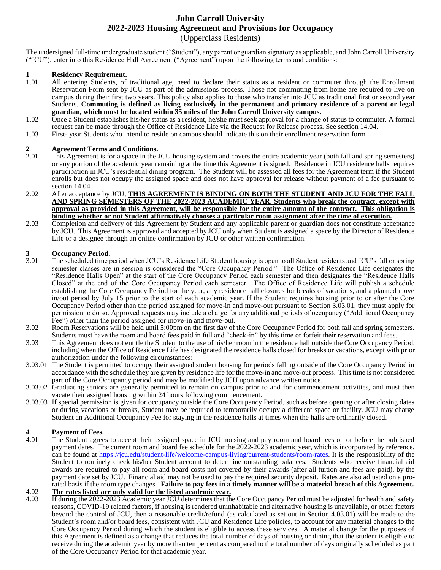#### **John Carroll University 2022-2023 Housing Agreement and Provisions for Occupancy**

(Upperclass Residents)

The undersigned full-time undergraduate student ("Student"), any parent or guardian signatory as applicable, and John Carroll University ("JCU"), enter into this Residence Hall Agreement ("Agreement") upon the following terms and conditions:

### **1 1 Residency Requirement.**<br>**1.01 All entering Students. of**

- All entering Students, of traditional age, need to declare their status as a resident or commuter through the Enrollment Reservation Form sent by JCU as part of the admissions process. Those not commuting from home are required to live on campus during their first two years. This policy also applies to those who transfer into JCU as traditional first or second year Students. **Commuting is defined as living exclusively in the permanent and primary residence of a parent or legal guardian, which must be located within 35 miles of the John Carroll University campus.**
- 1.02 Once a Student establishes his/her status as a resident, he/she must seek approval for a change of status to commuter. A formal request can be made through the Office of Residence Life via the Request for Release process. See section 14.04.
- 1.03 First- year Students who intend to reside on campus should indicate this on their enrollment reservation form.

# **2 Agreement Terms and Conditions.**<br>2.01 This Agreement is for a space in the J

- 2.01 This Agreement is for a space in the JCU housing system and covers the entire academic year (both fall and spring semesters) or any portion of the academic year remaining at the time this Agreement is signed. Residence in JCU residence halls requires participation in JCU's residential dining program. The Student will be assessed all fees for the Agreement term if the Student enrolls but does not occupy the assigned space and does not have approval for release without payment of a fee pursuant to section 14.04.
- 2.02 After acceptance by JCU, **THIS AGREEMENT IS BINDING ON BOTH THE STUDENT AND JCU FOR THE FALL AND SPRING SEMESTERS OF THE 2022-2023 ACADEMIC YEAR. Students who break the contract, except with approval as provided in this Agreement, will be responsible for the entire amount of the contract. This obligation is binding whether or not Student affirmatively chooses a particular room assignment after the time of execution.**
- 2.03 Completion and delivery of this Agreement by Student and any applicable parent or guardian does not constitute acceptance by JCU. This Agreement is approved and accepted by JCU only when Student is assigned a space by the Director of Residence Life or a designee through an online confirmation by JCU or other written confirmation.

# **3 Occupancy Period.**

- The scheduled time period when JCU's Residence Life Student housing is open to all Student residents and JCU's fall or spring semester classes are in session is considered the "Core Occupancy Period."The Office of Residence Life designates the "Residence Halls Open" at the start of the Core Occupancy Period each semester and then designates the "Residence Halls Closed" at the end of the Core Occupancy Period each semester. The Office of Residence Life will publish a schedule establishing the Core Occupancy Period for the year, any residence hall closures for breaks of vacations, and a planned move in/out period by July 15 prior to the start of each academic year. If the Student requires housing prior to or after the Core Occupancy Period other than the period assigned for move-in and move-out pursuant to Section 3.03.01, they must apply for permission to do so. Approved requests may include a charge for any additional periods of occupancy ("Additional Occupancy Fee") other than the period assigned for move-in and move-out.
- 3.02 Room Reservations will be held until 5:00pm on the first day of the Core Occupancy Period for both fall and spring semesters. Students must have the room and board fees paid in full and "check-in" by this time or forfeit their reservation and fees.
- 3.03 This Agreement does not entitle the Student to the use of his/her room in the residence hall outside the Core Occupancy Period, including when the Office of Residence Life has designated the residence halls closed for breaks or vacations, except with prior authorization under the following circumstances:
- 3.03.01 The Student is permitted to occupy their assigned student housing for periods falling outside of the Core Occupancy Period in accordance with the schedule they are given by residence life for the move-in and move-out process. This time is not considered part of the Core Occupancy period and may be modified by JCU upon advance written notice.
- 3.03.02 Graduating seniors are generally permitted to remain on campus prior to and for commencement activities, and must then vacate their assigned housing within 24 hours following commencement.
- 3.03.03 If special permission is given for occupancy outside the Core Occupancy Period, such as before opening or after closing dates or during vacations or breaks, Student may be required to temporarily occupy a different space or facility. JCU may charge Student an Additional Occupancy Fee for staying in the residence halls at times when the halls are ordinarily closed.

# **4 Payment of Fees.**

The Student agrees to accept their assigned space in JCU housing and pay room and board fees on or before the published payment dates. The current room and board fee schedule for the 2022-2023 academic year, which is incorporated by reference, can be found at https://jcu.edu/student-life/welcome-campus-living/current-students/room-rates. It is the responsibility of the Student to routinely check his/her Student account to determine outstanding balances. Students who receive financial aid awards are required to pay all room and board costs not covered by their awards (after all tuition and fees are paid), by the payment date set by JCU. Financial aid may not be used to pay the required security deposit. Rates are also adjusted on a prorated basis if the room type changes. **Failure to pay fees in a timely manner will be a material breach of this Agreement.**

#### 4.02 **The rates listed are only valid for the listed academic year.**

4.03 If during the 2022-2023 Academic year JCU determines that the Core Occupancy Period must be adjusted for health and safety reasons, COVID-19 related factors, if housing is rendered uninhabitable and alternative housing is unavailable, or other factors beyond the control of JCU, then a reasonable credit/refund (as calculated as set out in Section 4.03.01) will be made to the Student's room and/or board fees, consistent with JCU and Residence Life policies, to account for any material changes to the Core Occupancy Period during which the student is eligible to access these services. A material change for the purposes of this Agreement is defined as a change that reduces the total number of days of housing or dining that the student is eligible to receive during the academic year by more than ten percent as compared to the total number of days originally scheduled as part of the Core Occupancy Period for that academic year.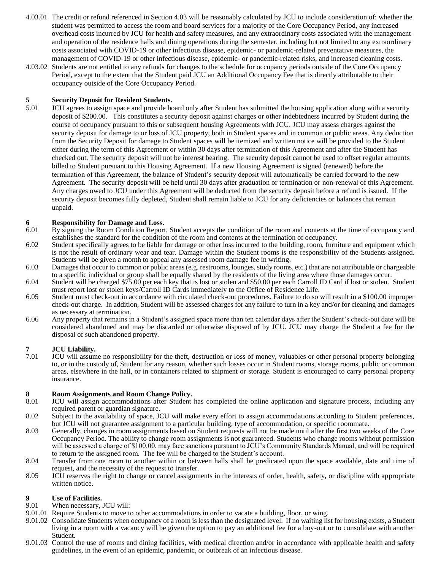- 4.03.01 The credit or refund referenced in Section 4.03 will be reasonably calculated by JCU to include consideration of: whether the student was permitted to access the room and board services for a majority of the Core Occupancy Period, any increased overhead costs incurred by JCU for health and safety measures, and any extraordinary costs associated with the management and operation of the residence halls and dining operations during the semester, including but not limited to any extraordinary costs associated with COVID-19 or other infectious disease, epidemic- or pandemic-related preventative measures, the management of COVID-19 or other infectious disease, epidemic- or pandemic-related risks, and increased cleaning costs.
- 4.03.02 Students are not entitled to any refunds for changes to the schedule for occupancy periods outside of the Core Occupancy Period, except to the extent that the Student paid JCU an Additional Occupancy Fee that is directly attributable to their occupancy outside of the Core Occupancy Period.

#### **5 Security Deposit for Resident Students.**

5.01 JCU agrees to assign space and provide board only after Student has submitted the housing application along with a security deposit of \$200.00. This constitutes a security deposit against charges or other indebtedness incurred by Student during the course of occupancy pursuant to this or subsequent housing Agreements with JCU. JCU may assess charges against the security deposit for damage to or loss of JCU property, both in Student spaces and in common or public areas. Any deduction from the Security Deposit for damage to Student spaces will be itemized and written notice will be provided to the Student either during the term of this Agreement or within 30 days after termination of this Agreement and after the Student has checked out. The security deposit will not be interest bearing. The security deposit cannot be used to offset regular amounts billed to Student pursuant to this Housing Agreement. If a new Housing Agreement is signed (renewed) before the termination of this Agreement, the balance of Student's security deposit will automatically be carried forward to the new Agreement. The security deposit will be held until 30 days after graduation or termination or non-renewal of this Agreement. Any charges owed to JCU under this Agreement will be deducted from the security deposit before a refund is issued. If the security deposit becomes fully depleted, Student shall remain liable to JCU for any deficiencies or balances that remain unpaid.

# **6 Responsibility for Damage and Loss.**<br>**6.01 By signing the Room Condition Report**

- By signing the Room Condition Report, Student accepts the condition of the room and contents at the time of occupancy and establishes the standard for the condition of the room and contents at the termination of occupancy.
- 6.02 Student specifically agrees to be liable for damage or other loss incurred to the building, room, furniture and equipment which is not the result of ordinary wear and tear. Damage within the Student rooms is the responsibility of the Students assigned. Students will be given a month to appeal any assessed room damage fee in writing.
- 6.03 Damages that occur to common or public areas (e.g. restrooms, lounges, study rooms, etc.) that are not attributable or chargeable to a specific individual or group shall be equally shared by the residents of the living area where those damages occur.
- 6.04 Student will be charged \$75.00 per each key that is lost or stolen and \$50.00 per each Carroll ID Card if lost or stolen. Student must report lost or stolen keys/Carroll ID Cards immediately to the Office of Residence Life.
- 6.05 Student must check-out in accordance with circulated check-out procedures. Failure to do so will result in a \$100.00 improper check-out charge. In addition, Student will be assessed charges for any failure to turn in a key and/or for cleaning and damages as necessary at termination.
- 6.06 Any property that remains in a Student's assigned space more than ten calendar days after the Student's check-out date will be considered abandoned and may be discarded or otherwise disposed of by JCU. JCU may charge the Student a fee for the disposal of such abandoned property.

**7 JCU Liability.** JCU will assume no responsibility for the theft, destruction or loss of money, valuables or other personal property belonging to, or in the custody of, Student for any reason, whether such losses occur in Student rooms, storage rooms, public or common areas, elsewhere in the hall, or in containers related to shipment or storage. Student is encouraged to carry personal property insurance.

# **8 <b>Room Assignments and Room Change Policy.**<br>**8.01 JCU** will assign accommodations after Student

- 8.01 JCU will assign accommodations after Student has completed the online application and signature process, including any required parent or guardian signature.
- 8.02 Subject to the availability of space, JCU will make every effort to assign accommodations according to Student preferences, but JCU will not guarantee assignment to a particular building, type of accommodation, or specific roommate.
- 8.03 Generally, changes in room assignments based on Student requests will not be made until after the first two weeks of the Core Occupancy Period. The ability to change room assignments is not guaranteed. Students who change rooms without permission will be assessed a charge of \$100.00, may face sanctions pursuant to JCU's Community Standards Manual, and will be required to return to the assigned room. The fee will be charged to the Student's account.
- 8.04 Transfer from one room to another within or between halls shall be predicated upon the space available, date and time of request, and the necessity of the request to transfer.
- 8.05 JCU reserves the right to change or cancel assignments in the interests of order, health, safety, or discipline with appropriate written notice.

### **9 Use of Facilities.**<br>9.01 **When necessary.**

- When necessary, JCU will:
- 9.01.01 Require Students to move to other accommodations in order to vacate a building, floor, or wing.
- 9.01.02 Consolidate Students when occupancy of a room is less than the designated level. If no waiting list for housing exists, a Student living in a room with a vacancy will be given the option to pay an additional fee for a buy-out or to consolidate with another Student.
- 9.01.03 Control the use of rooms and dining facilities, with medical direction and/or in accordance with applicable health and safety guidelines, in the event of an epidemic, pandemic, or outbreak of an infectious disease.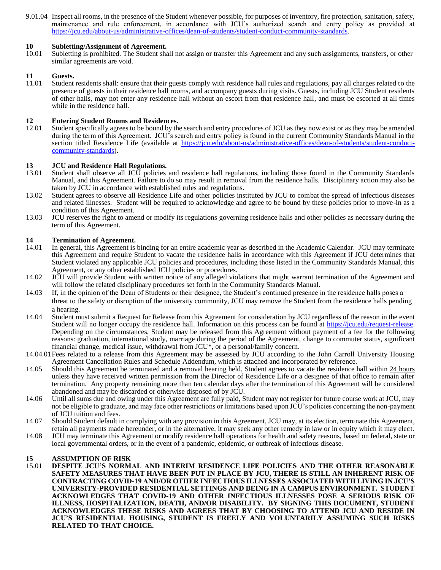9.01.04 Inspect all rooms, in the presence of the Student whenever possible, for purposes of inventory, fire protection, sanitation, safety, maintenance and rule enforcement, in accordance with JCU's authorized search and entry policy as provided at https://jcu.edu/about-us/administrative-offices/dean-of-students/student-conduct-community-standards.

#### **10 Subletting/Assignment of Agreement.**

10.01 Subletting is prohibited. The Student shall not assign or transfer this Agreement and any such assignments, transfers, or other similar agreements are void.

### **11 Guests.**<br>11.01 **Student**

Student residents shall: ensure that their guests comply with residence hall rules and regulations, pay all charges related to the presence of guests in their residence hall rooms, and accompany guests during visits. Guests, including JCU Student residents of other halls, may not enter any residence hall without an escort from that residence hall, and must be escorted at all times while in the residence hall.

### **12 Entering Student Rooms and Residences.**<br>12.01 Student specifically agrees to be bound by the

Student specifically agrees to be bound by the search and entry procedures of JCU as they now exist or as they may be amended during the term of this Agreement. JCU's search and entry policy is found in the current Community Standards Manual in the section titled Residence Life (available at https://jcu.edu/about-us/administrative-offices/dean-of-students/student-conductcommunity-standards).

#### **13 JCU and Residence Hall Regulations.**

- 13.01 Student shall observe all JCU policies and residence hall regulations, including those found in the Community Standards Manual, and this Agreement. Failure to do so may result in removal from the residence halls. Disciplinary action may also be taken by JCU in accordance with established rules and regulations.
- 13.02 Student agrees to observe all Residence Life and other policies instituted by JCU to combat the spread of infectious diseases and related illnesses. Student will be required to acknowledge and agree to be bound by these policies prior to move-in as a condition of this Agreement.
- 13.03 JCU reserves the right to amend or modify its regulations governing residence halls and other policies as necessary during the term of this Agreement.

#### **14 Termination of Agreement.**

- 14.01 In general, this Agreement is binding for an entire academic year as described in the Academic Calendar. JCU may terminate this Agreement and require Student to vacate the residence halls in accordance with this Agreement if JCU determines that Student violated any applicable JCU policies and procedures, including those listed in the Community Standards Manual, this Agreement, or any other established JCU policies or procedures.
- 14.02 JCU will provide Student with written notice of any alleged violations that might warrant termination of the Agreement and will follow the related disciplinary procedures set forth in the Community Standards Manual.
- 14.03 If, in the opinion of the Dean of Students or their designee, the Student's continued presence in the residence halls poses a threat to the safety or disruption of the university community, JCU may remove the Student from the residence halls pending a hearing.
- 14.04 Student must submit a Request for Release from this Agreement for consideration by JCU regardless of the reason in the event Student will no longer occupy the residence hall. Information on this process can be found at https://jcu.edu/request-release. Depending on the circumstances, Student may be released from this Agreement without payment of a fee for the following reasons: graduation, international study, marriage during the period of the Agreement, change to commuter status, significant financial change, medical issue, withdrawal from JCU\*, or a personal/family concern.
- 14.04.01Fees related to a release from this Agreement may be assessed by JCU according to the John Carroll University Housing Agreement Cancellation Rules and Schedule Addendum, which is attached and incorporated by reference.
- 14.05 Should this Agreement be terminated and a removal hearing held, Student agrees to vacate the residence hall within 24 hours unless they have received written permission from the Director of Residence Life or a designee of that office to remain after termination. Any property remaining more than ten calendar days after the termination of this Agreement will be considered abandoned and may be discarded or otherwise disposed of by JCU.
- 14.06 Until all sums due and owing under this Agreement are fully paid, Student may not register for future course work at JCU, may not be eligible to graduate, and may face other restrictions or limitations based upon JCU's policies concerning the non-payment of JCU tuition and fees.
- 14.07 Should Student default in complying with any provision in this Agreement, JCU may, at its election, terminate this Agreement, retain all payments made hereunder, or in the alternative, it may seek any other remedy in law or in equity which it may elect.
- 14.08 JCU may terminate this Agreement or modify residence hall operations for health and safety reasons, based on federal, state or local governmental orders, or in the event of a pandemic, epidemic, or outbreak of infectious disease.

### **15 ASSUMPTION OF RISK**

15.01 **DESPITE JCU'S NORMAL AND INTERIM RESIDENCE LIFE POLICIES AND THE OTHER REASONABLE SAFETY MEASURES THAT HAVE BEEN PUT IN PLACE BY JCU, THERE IS STILL AN INHERENT RISK OF CONTRACTING COVID-19 AND/OR OTHER INFECTIOUS ILLNESSES ASSOCIATED WITH LIVING IN JCU'S UNIVERSITY-PROVIDED RESIDENTIAL SETTINGS AND BEING IN A CAMPUS ENVIRONMENT. STUDENT ACKNOWLEDGES THAT COVID-19 AND OTHER INFECTIOUS ILLNESSES POSE A SERIOUS RISK OF ILLNESS, HOSPITALIZATION, DEATH, AND/OR DISABILITY. BY SIGNING THIS DOCUMENT, STUDENT ACKNOWLEDGES THESE RISKS AND AGREES THAT BY CHOOSING TO ATTEND JCU AND RESIDE IN JCU'S RESIDENTIAL HOUSING, STUDENT IS FREELY AND VOLUNTARILY ASSUMING SUCH RISKS RELATED TO THAT CHOICE.**